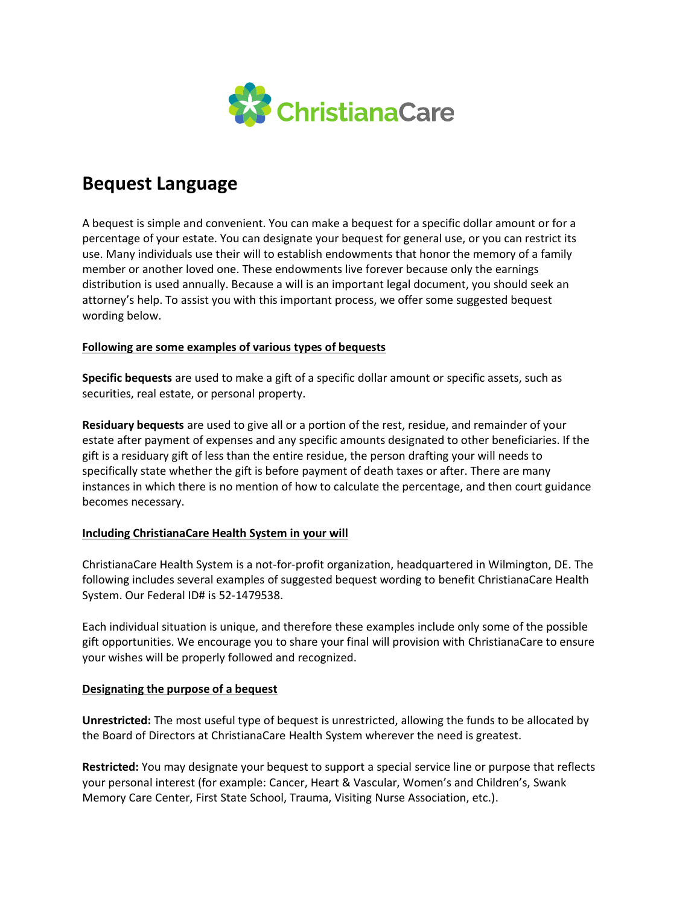

# **Bequest Language**

A bequest is simple and convenient. You can make a bequest for a specific dollar amount or for a percentage of your estate. You can designate your bequest for general use, or you can restrict its use. Many individuals use their will to establish endowments that honor the memory of a family member or another loved one. These endowments live forever because only the earnings distribution is used annually. Because a will is an important legal document, you should seek an attorney's help. To assist you with this important process, we offer some suggested bequest wording below.

## **Following are some examples of various types of bequests**

**Specific bequests** are used to make a gift of a specific dollar amount or specific assets, such as securities, real estate, or personal property.

**Residuary bequests** are used to give all or a portion of the rest, residue, and remainder of your estate after payment of expenses and any specific amounts designated to other beneficiaries. If the gift is a residuary gift of less than the entire residue, the person drafting your will needs to specifically state whether the gift is before payment of death taxes or after. There are many instances in which there is no mention of how to calculate the percentage, and then court guidance becomes necessary.

## **Including ChristianaCare Health System in your will**

ChristianaCare Health System is a not-for-profit organization, headquartered in Wilmington, DE. The following includes several examples of suggested bequest wording to benefit ChristianaCare Health System. Our Federal ID# is 52-1479538.

Each individual situation is unique, and therefore these examples include only some of the possible gift opportunities. We encourage you to share your final will provision with ChristianaCare to ensure your wishes will be properly followed and recognized.

## **Designating the purpose of a bequest**

**Unrestricted:** The most useful type of bequest is unrestricted, allowing the funds to be allocated by the Board of Directors at ChristianaCare Health System wherever the need is greatest.

**Restricted:** You may designate your bequest to support a special service line or purpose that reflects your personal interest (for example: Cancer, Heart & Vascular, Women's and Children's, Swank Memory Care Center, First State School, Trauma, Visiting Nurse Association, etc.).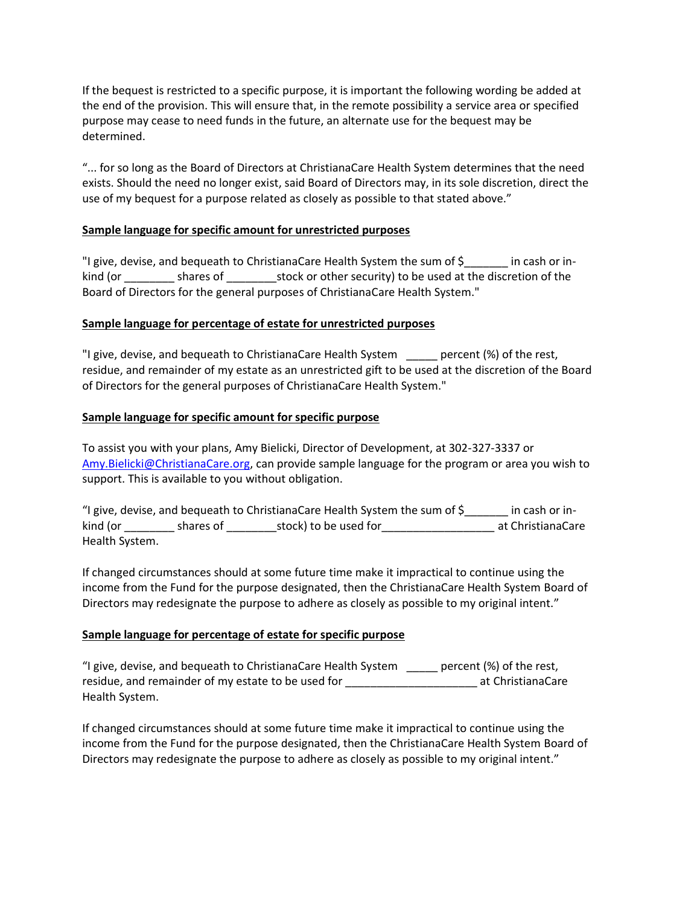If the bequest is restricted to a specific purpose, it is important the following wording be added at the end of the provision. This will ensure that, in the remote possibility a service area or specified purpose may cease to need funds in the future, an alternate use for the bequest may be determined.

"... for so long as the Board of Directors at ChristianaCare Health System determines that the need exists. Should the need no longer exist, said Board of Directors may, in its sole discretion, direct the use of my bequest for a purpose related as closely as possible to that stated above."

# **Sample language for specific amount for unrestricted purposes**

"I give, devise, and bequeath to ChristianaCare Health System the sum of \$\_\_\_\_\_\_\_ in cash or inkind (or \_\_\_\_\_\_\_\_ shares of \_\_\_\_\_\_\_\_stock or other security) to be used at the discretion of the Board of Directors for the general purposes of ChristianaCare Health System."

# **Sample language for percentage of estate for unrestricted purposes**

"I give, devise, and bequeath to ChristianaCare Health System percent (%) of the rest, residue, and remainder of my estate as an unrestricted gift to be used at the discretion of the Board of Directors for the general purposes of ChristianaCare Health System."

# **Sample language for specific amount for specific purpose**

To assist you with your plans, Amy Bielicki, Director of Development, at 302-327-3337 or [Amy.Bielicki@ChristianaCare.org,](mailto:Amy.Bielicki@ChristianaCare.org) can provide sample language for the program or area you wish to support. This is available to you without obligation.

"I give, devise, and bequeath to ChristianaCare Health System the sum of \$\_\_\_\_\_\_\_ in cash or inkind (or \_\_\_\_\_\_\_\_\_\_ shares of \_\_\_\_\_\_\_\_\_\_\_stock) to be used for \_\_\_\_\_\_\_\_\_\_\_\_\_\_\_\_\_\_\_\_\_\_\_\_\_ at ChristianaCare Health System.

If changed circumstances should at some future time make it impractical to continue using the income from the Fund for the purpose designated, then the ChristianaCare Health System Board of Directors may redesignate the purpose to adhere as closely as possible to my original intent."

## **Sample language for percentage of estate for specific purpose**

"I give, devise, and bequeath to ChristianaCare Health System \_\_\_\_\_ percent (%) of the rest, residue, and remainder of my estate to be used for \_\_\_\_\_\_\_\_\_\_\_\_\_\_\_\_\_\_\_\_\_\_\_\_\_\_\_\_\_ at ChristianaCare Health System.

If changed circumstances should at some future time make it impractical to continue using the income from the Fund for the purpose designated, then the ChristianaCare Health System Board of Directors may redesignate the purpose to adhere as closely as possible to my original intent."